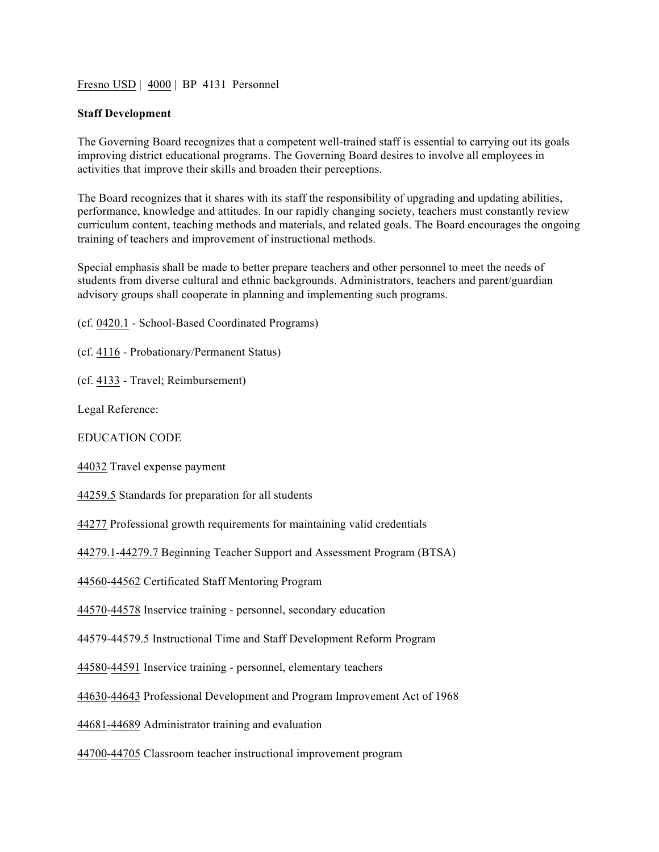Fresno USD | 4000 | BP 4131 Personnel

## **Staff Development**

The Governing Board recognizes that a competent well-trained staff is essential to carrying out its goals improving district educational programs. The Governing Board desires to involve all employees in activities that improve their skills and broaden their perceptions.

The Board recognizes that it shares with its staff the responsibility of upgrading and updating abilities, performance, knowledge and attitudes. In our rapidly changing society, teachers must constantly review curriculum content, teaching methods and materials, and related goals. The Board encourages the ongoing training of teachers and improvement of instructional methods.

Special emphasis shall be made to better prepare teachers and other personnel to meet the needs of students from diverse cultural and ethnic backgrounds. Administrators, teachers and parent/guardian advisory groups shall cooperate in planning and implementing such programs.

(cf. 0420.1 - School-Based Coordinated Programs)

(cf. 4116 - Probationary/Permanent Status)

(cf. 4133 - Travel; Reimbursement)

Legal Reference:

EDUCATION CODE

44032 Travel expense payment

44259.5 Standards for preparation for all students

44277 Professional growth requirements for maintaining valid credentials

44279.1-44279.7 Beginning Teacher Support and Assessment Program (BTSA)

44560-44562 Certificated Staff Mentoring Program

44570-44578 Inservice training - personnel, secondary education

44579-44579.5 Instructional Time and Staff Development Reform Program

44580-44591 Inservice training - personnel, elementary teachers

44630-44643 Professional Development and Program Improvement Act of 1968

44681-44689 Administrator training and evaluation

44700-44705 Classroom teacher instructional improvement program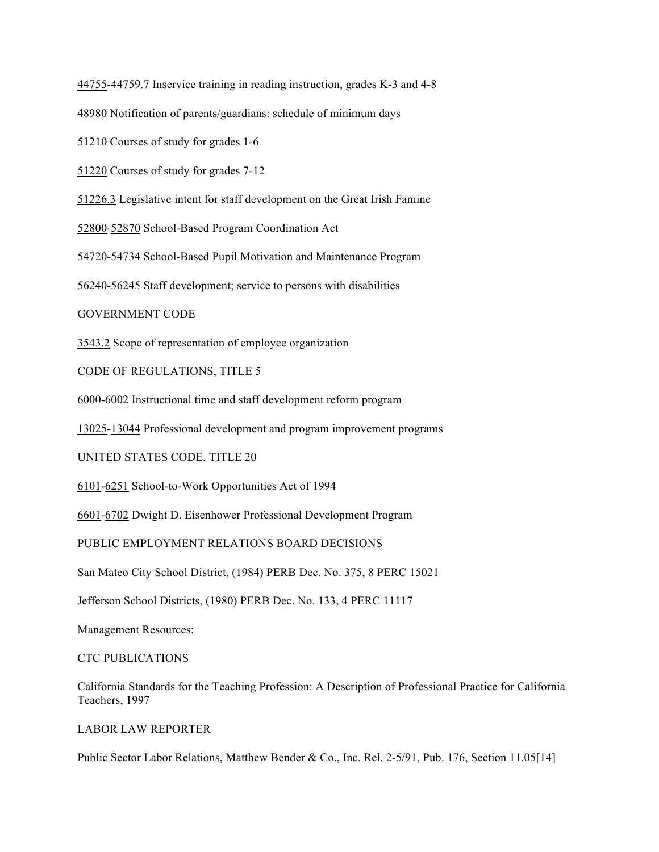44755-44759.7 Inservice training in reading instruction, grades K-3 and 4-8 48980 Notification of parents/guardians: schedule of minimum days 51210 Courses of study for grades 1-6 51220 Courses of study for grades 7-12 51226.3 Legislative intent for staff development on the Great Irish Famine 52800-52870 School-Based Program Coordination Act 54720-54734 School-Based Pupil Motivation and Maintenance Program 56240-56245 Staff development; service to persons with disabilities GOVERNMENT CODE 3543.2 Scope of representation of employee organization CODE OF REGULATIONS, TITLE 5

6000-6002 Instructional time and staff development reform program

13025-13044 Professional development and program improvement programs

UNITED STATES CODE, TITLE 20

6101-6251 School-to-Work Opportunities Act of 1994

6601-6702 Dwight D. Eisenhower Professional Development Program

PUBLIC EMPLOYMENT RELATIONS BOARD DECISIONS

San Mateo City School District, (1984) PERB Dec. No. 375, 8 PERC 15021

Jefferson School Districts, (1980) PERB Dec. No. 133, 4 PERC 11117

Management Resources:

## CTC PUBLICATIONS

California Standards for the Teaching Profession: A Description of Professional Practice for California Teachers, 1997

## LABOR LAW REPORTER

Public Sector Labor Relations, Matthew Bender & Co., Inc. Rel. 2-5/91, Pub. 176, Section 11.05[14]